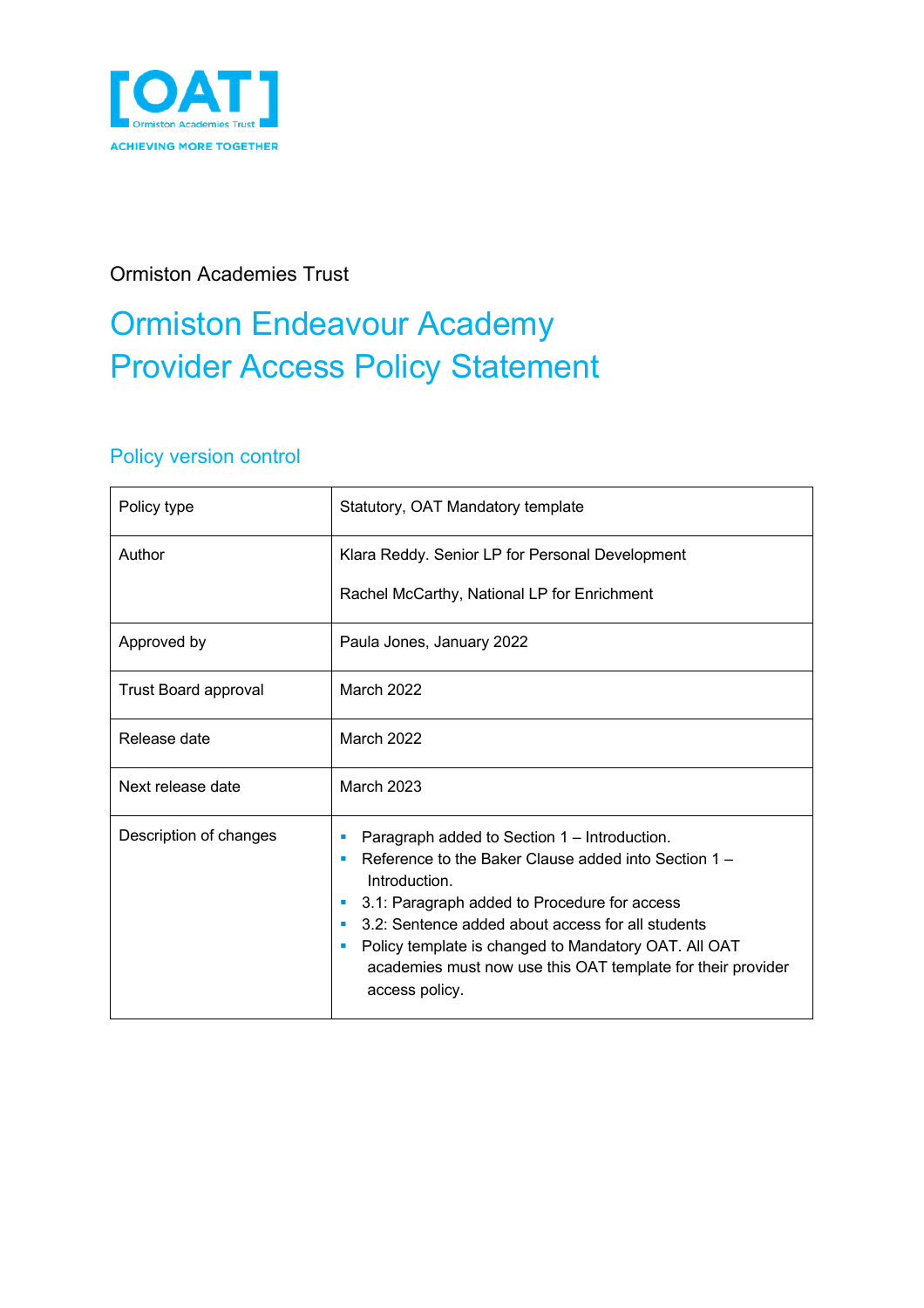

#### Ormiston Academies Trust

# Ormiston Endeavour Academy Provider Access Policy Statement

#### Policy version control

| Policy type                 | Statutory, OAT Mandatory template                                                                                                                                                                                                                                                                                                                                             |  |  |
|-----------------------------|-------------------------------------------------------------------------------------------------------------------------------------------------------------------------------------------------------------------------------------------------------------------------------------------------------------------------------------------------------------------------------|--|--|
| Author                      | Klara Reddy. Senior LP for Personal Development<br>Rachel McCarthy, National LP for Enrichment                                                                                                                                                                                                                                                                                |  |  |
| Approved by                 | Paula Jones, January 2022                                                                                                                                                                                                                                                                                                                                                     |  |  |
| <b>Trust Board approval</b> | March 2022                                                                                                                                                                                                                                                                                                                                                                    |  |  |
| Release date                | March 2022                                                                                                                                                                                                                                                                                                                                                                    |  |  |
| Next release date           | March 2023                                                                                                                                                                                                                                                                                                                                                                    |  |  |
| Description of changes      | Paragraph added to Section 1 – Introduction.<br>Reference to the Baker Clause added into Section 1 -<br>Introduction.<br>3.1: Paragraph added to Procedure for access<br>3.2: Sentence added about access for all students<br>٠<br>Policy template is changed to Mandatory OAT. All OAT<br>×<br>academies must now use this OAT template for their provider<br>access policy. |  |  |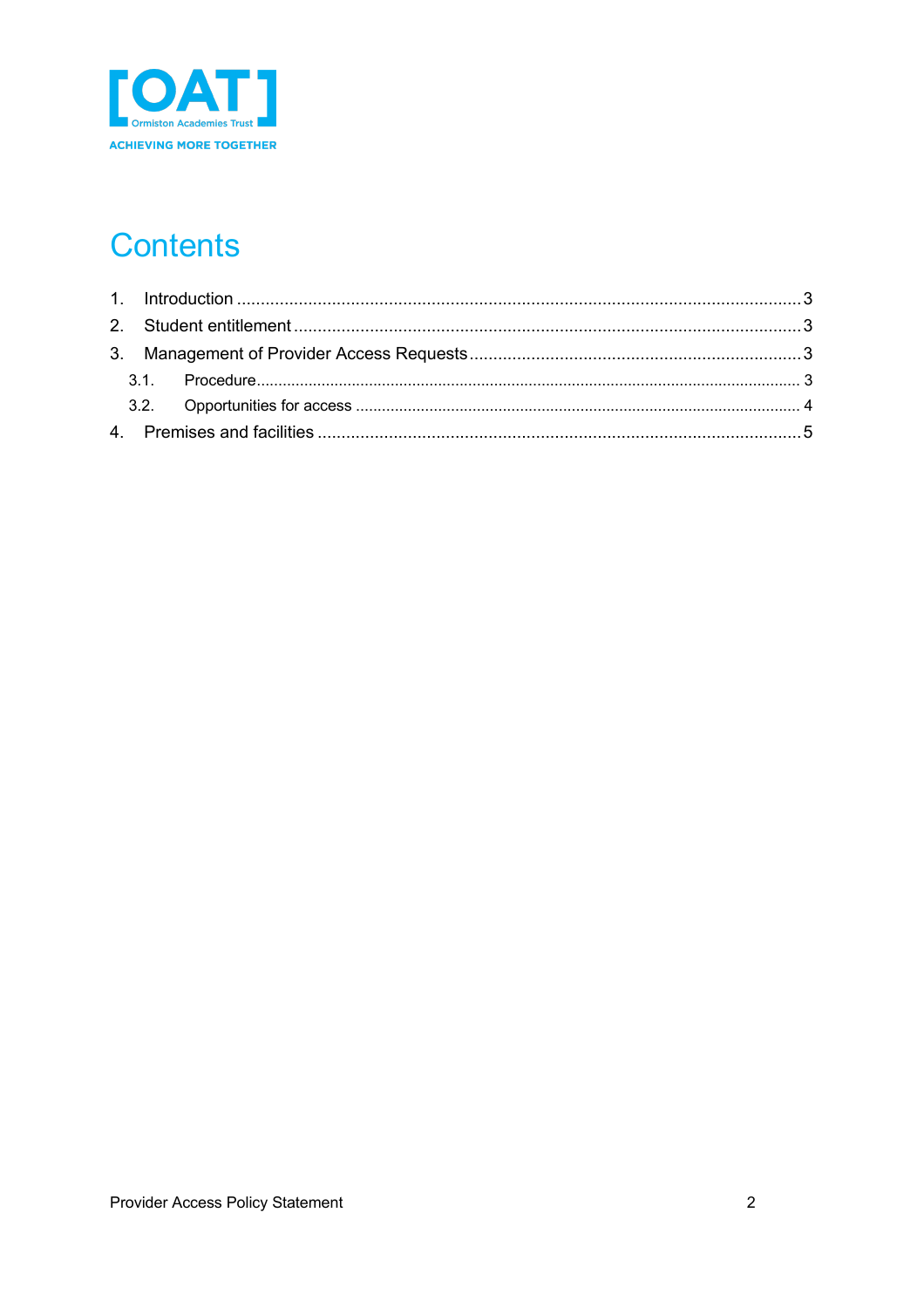

## **Contents**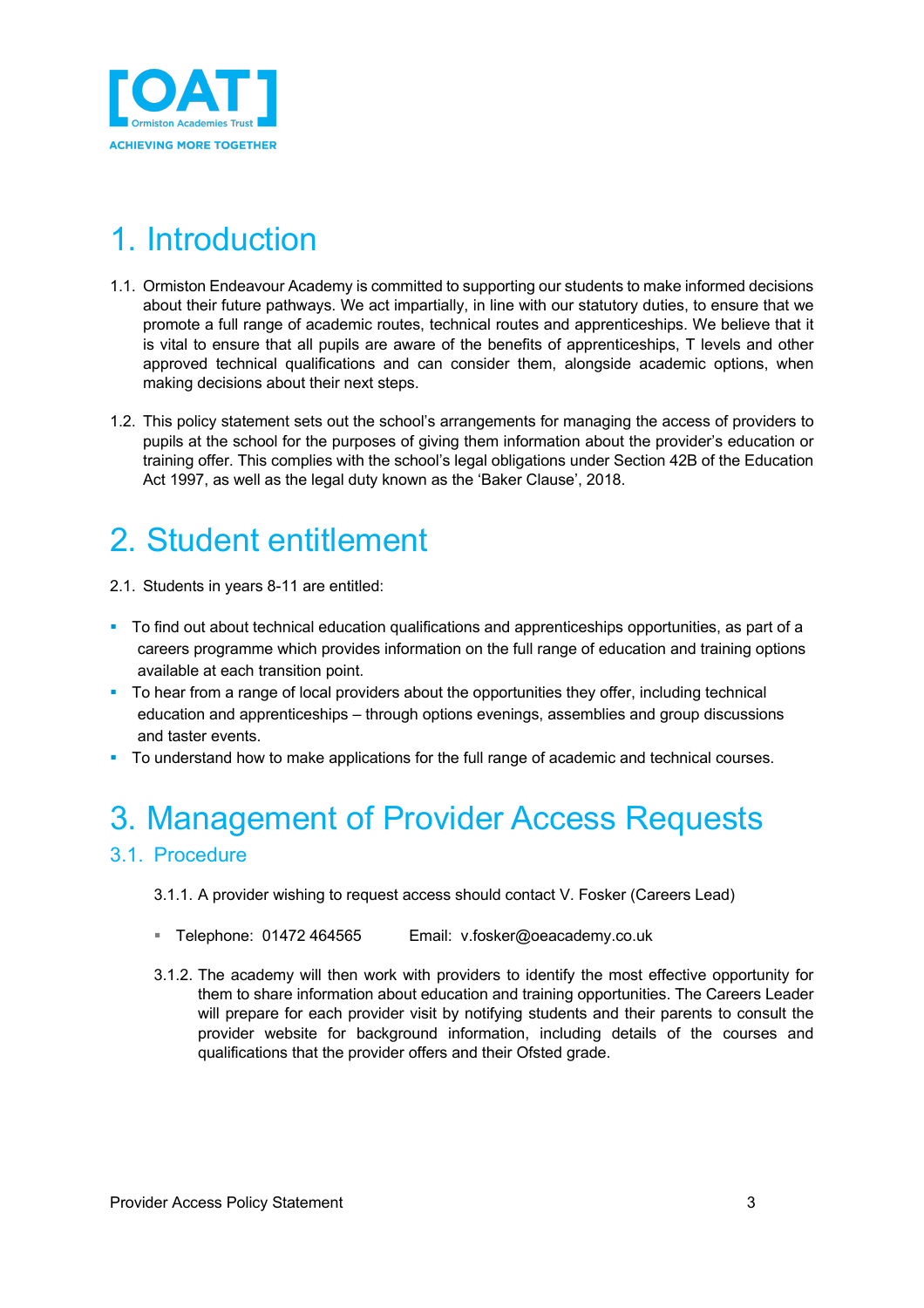

## 1. Introduction

- 1.1. Ormiston Endeavour Academy is committed to supporting our students to make informed decisions about their future pathways. We act impartially, in line with our statutory duties, to ensure that we promote a full range of academic routes, technical routes and apprenticeships. We believe that it is vital to ensure that all pupils are aware of the benefits of apprenticeships, T levels and other approved technical qualifications and can consider them, alongside academic options, when making decisions about their next steps.
- 1.2. This policy statement sets out the school's arrangements for managing the access of providers to pupils at the school for the purposes of giving them information about the provider's education or training offer. This complies with the school's legal obligations under Section 42B of the Education Act 1997, as well as the legal duty known as the 'Baker Clause', 2018.

## 2. Student entitlement

2.1. Students in years 8-11 are entitled:

- To find out about technical education qualifications and apprenticeships opportunities, as part of a careers programme which provides information on the full range of education and training options available at each transition point.
- § To hear from a range of local providers about the opportunities they offer, including technical education and apprenticeships – through options evenings, assemblies and group discussions and taster events.
- To understand how to make applications for the full range of academic and technical courses.

## 3. Management of Provider Access Requests

#### 3.1. Procedure

- 3.1.1. A provider wishing to request access should contact V. Fosker (Careers Lead)
- Telephone: 01472 464565 Email: v.fosker@oeacademy.co.uk
- 3.1.2. The academy will then work with providers to identify the most effective opportunity for them to share information about education and training opportunities. The Careers Leader will prepare for each provider visit by notifying students and their parents to consult the provider website for background information, including details of the courses and qualifications that the provider offers and their Ofsted grade.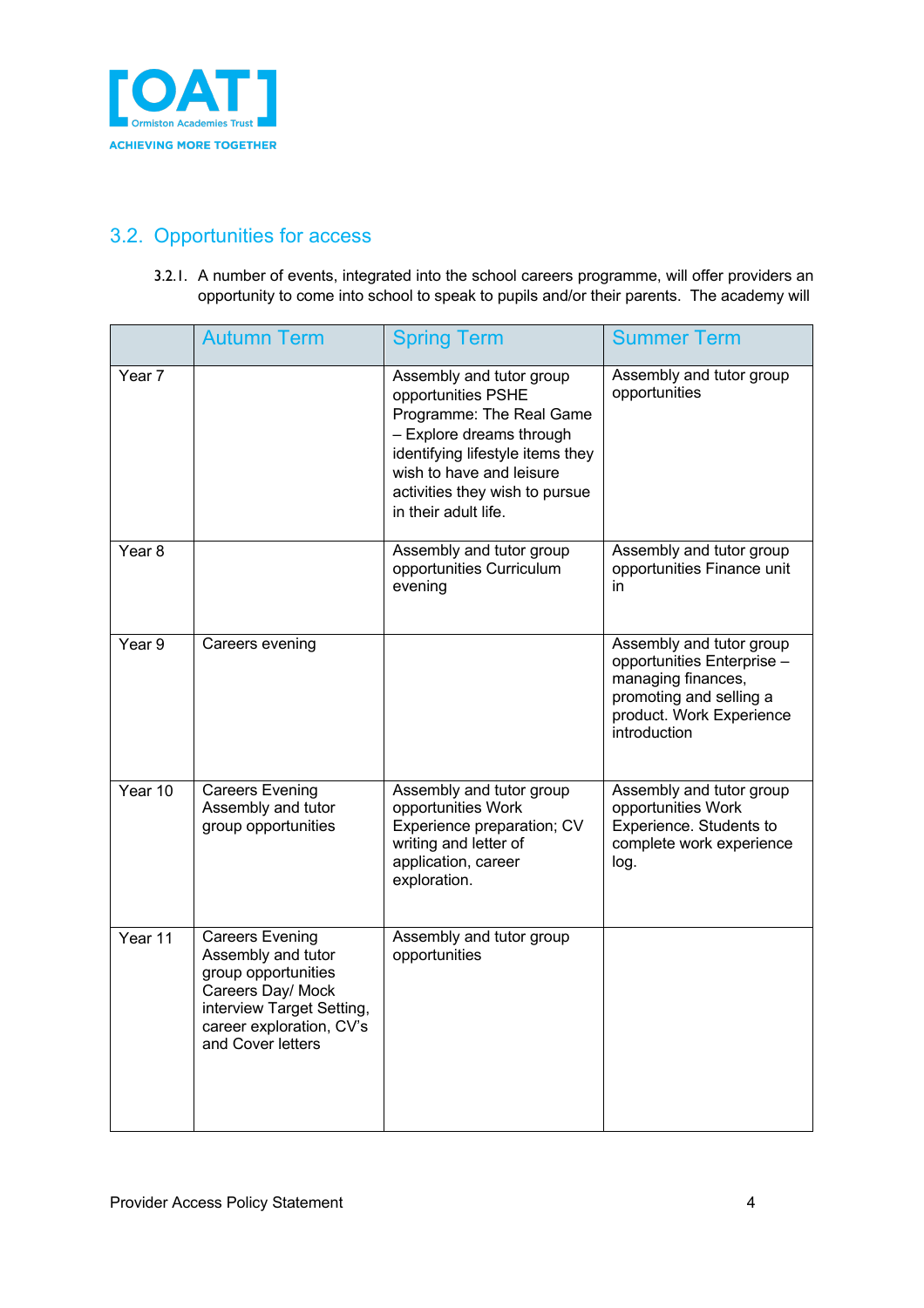

#### 3.2. Opportunities for access

3.2.1. A number of events, integrated into the school careers programme, will offer providers an opportunity to come into school to speak to pupils and/or their parents. The academy will

|                   | <b>Autumn Term</b>                                                                                                                                                     | <b>Spring Term</b>                                                                                                                                                                                                               | <b>Summer Term</b>                                                                                                                                  |
|-------------------|------------------------------------------------------------------------------------------------------------------------------------------------------------------------|----------------------------------------------------------------------------------------------------------------------------------------------------------------------------------------------------------------------------------|-----------------------------------------------------------------------------------------------------------------------------------------------------|
| Year 7            |                                                                                                                                                                        | Assembly and tutor group<br>opportunities PSHE<br>Programme: The Real Game<br>- Explore dreams through<br>identifying lifestyle items they<br>wish to have and leisure<br>activities they wish to pursue<br>in their adult life. | Assembly and tutor group<br>opportunities                                                                                                           |
| Year <sub>8</sub> |                                                                                                                                                                        | Assembly and tutor group<br>opportunities Curriculum<br>evening                                                                                                                                                                  | Assembly and tutor group<br>opportunities Finance unit<br>in                                                                                        |
| Year 9            | Careers evening                                                                                                                                                        |                                                                                                                                                                                                                                  | Assembly and tutor group<br>opportunities Enterprise -<br>managing finances,<br>promoting and selling a<br>product. Work Experience<br>introduction |
| Year 10           | <b>Careers Evening</b><br>Assembly and tutor<br>group opportunities                                                                                                    | Assembly and tutor group<br>opportunities Work<br>Experience preparation; CV<br>writing and letter of<br>application, career<br>exploration.                                                                                     | Assembly and tutor group<br>opportunities Work<br>Experience. Students to<br>complete work experience<br>log.                                       |
| Year 11           | <b>Careers Evening</b><br>Assembly and tutor<br>group opportunities<br>Careers Day/ Mock<br>interview Target Setting,<br>career exploration, CV's<br>and Cover letters | Assembly and tutor group<br>opportunities                                                                                                                                                                                        |                                                                                                                                                     |